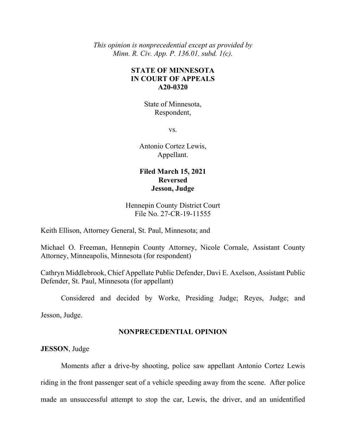*This opinion is nonprecedential except as provided by Minn. R. Civ. App. P. 136.01, subd. 1(c).* 

# **STATE OF MINNESOTA IN COURT OF APPEALS A20-0320**

State of Minnesota, Respondent,

vs.

Antonio Cortez Lewis, Appellant.

## **Filed March 15, 2021 Reversed Jesson, Judge**

Hennepin County District Court File No. 27-CR-19-11555

Keith Ellison, Attorney General, St. Paul, Minnesota; and

Michael O. Freeman, Hennepin County Attorney, Nicole Cornale, Assistant County Attorney, Minneapolis, Minnesota (for respondent)

Cathryn Middlebrook, Chief Appellate Public Defender, Davi E. Axelson, Assistant Public Defender, St. Paul, Minnesota (for appellant)

Considered and decided by Worke, Presiding Judge; Reyes, Judge; and

Jesson, Judge.

### **NONPRECEDENTIAL OPINION**

**JESSON**, Judge

Moments after a drive-by shooting, police saw appellant Antonio Cortez Lewis riding in the front passenger seat of a vehicle speeding away from the scene. After police made an unsuccessful attempt to stop the car, Lewis, the driver, and an unidentified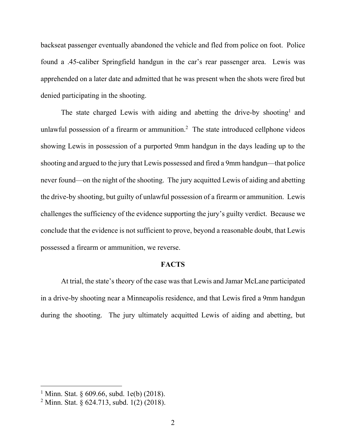backseat passenger eventually abandoned the vehicle and fled from police on foot. Police found a .45-caliber Springfield handgun in the car's rear passenger area. Lewis was apprehended on a later date and admitted that he was present when the shots were fired but denied participating in the shooting.

The state charged Lewis with aiding and abetting the drive-by shooting<sup>1</sup> and unlawful possession of a firearm or ammunition.<sup>2</sup> The state introduced cellphone videos showing Lewis in possession of a purported 9mm handgun in the days leading up to the shooting and argued to the jury that Lewis possessed and fired a 9mm handgun—that police never found—on the night of the shooting. The jury acquitted Lewis of aiding and abetting the drive-by shooting, but guilty of unlawful possession of a firearm or ammunition. Lewis challenges the sufficiency of the evidence supporting the jury's guilty verdict. Because we conclude that the evidence is not sufficient to prove, beyond a reasonable doubt, that Lewis possessed a firearm or ammunition, we reverse.

### **FACTS**

At trial, the state's theory of the case was that Lewis and Jamar McLane participated in a drive-by shooting near a Minneapolis residence, and that Lewis fired a 9mm handgun during the shooting. The jury ultimately acquitted Lewis of aiding and abetting, but

<sup>&</sup>lt;sup>1</sup> Minn. Stat. § 609.66, subd. 1e(b) (2018).

<sup>&</sup>lt;sup>2</sup> Minn. Stat. § 624.713, subd. 1(2) (2018).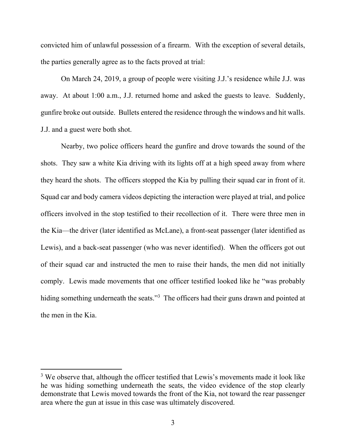convicted him of unlawful possession of a firearm. With the exception of several details, the parties generally agree as to the facts proved at trial:

On March 24, 2019, a group of people were visiting J.J.'s residence while J.J. was away. At about 1:00 a.m., J.J. returned home and asked the guests to leave. Suddenly, gunfire broke out outside. Bullets entered the residence through the windows and hit walls. J.J. and a guest were both shot.

Nearby, two police officers heard the gunfire and drove towards the sound of the shots. They saw a white Kia driving with its lights off at a high speed away from where they heard the shots. The officers stopped the Kia by pulling their squad car in front of it. Squad car and body camera videos depicting the interaction were played at trial, and police officers involved in the stop testified to their recollection of it. There were three men in the Kia—the driver (later identified as McLane), a front-seat passenger (later identified as Lewis), and a back-seat passenger (who was never identified). When the officers got out of their squad car and instructed the men to raise their hands, the men did not initially comply. Lewis made movements that one officer testified looked like he "was probably hiding something underneath the seats."<sup>3</sup> The officers had their guns drawn and pointed at the men in the Kia.

 $3$  We observe that, although the officer testified that Lewis's movements made it look like he was hiding something underneath the seats, the video evidence of the stop clearly demonstrate that Lewis moved towards the front of the Kia, not toward the rear passenger area where the gun at issue in this case was ultimately discovered.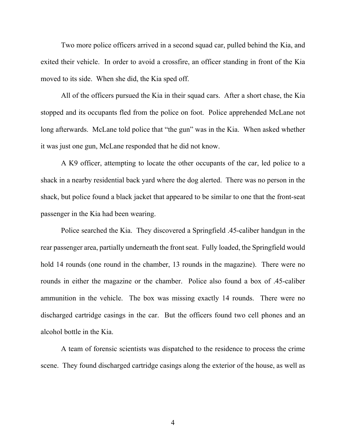Two more police officers arrived in a second squad car, pulled behind the Kia, and exited their vehicle. In order to avoid a crossfire, an officer standing in front of the Kia moved to its side. When she did, the Kia sped off.

All of the officers pursued the Kia in their squad cars. After a short chase, the Kia stopped and its occupants fled from the police on foot. Police apprehended McLane not long afterwards. McLane told police that "the gun" was in the Kia. When asked whether it was just one gun, McLane responded that he did not know.

A K9 officer, attempting to locate the other occupants of the car, led police to a shack in a nearby residential back yard where the dog alerted. There was no person in the shack, but police found a black jacket that appeared to be similar to one that the front-seat passenger in the Kia had been wearing.

Police searched the Kia. They discovered a Springfield .45-caliber handgun in the rear passenger area, partially underneath the front seat. Fully loaded, the Springfield would hold 14 rounds (one round in the chamber, 13 rounds in the magazine). There were no rounds in either the magazine or the chamber. Police also found a box of .45-caliber ammunition in the vehicle. The box was missing exactly 14 rounds. There were no discharged cartridge casings in the car. But the officers found two cell phones and an alcohol bottle in the Kia.

 A team of forensic scientists was dispatched to the residence to process the crime scene. They found discharged cartridge casings along the exterior of the house, as well as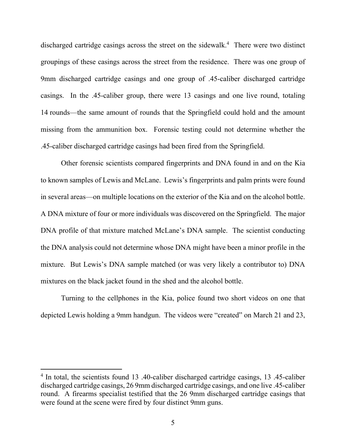discharged cartridge casings across the street on the sidewalk.<sup>4</sup> There were two distinct groupings of these casings across the street from the residence. There was one group of 9mm discharged cartridge casings and one group of .45-caliber discharged cartridge casings. In the .45-caliber group, there were 13 casings and one live round, totaling 14 rounds—the same amount of rounds that the Springfield could hold and the amount missing from the ammunition box. Forensic testing could not determine whether the .45-caliber discharged cartridge casings had been fired from the Springfield.

Other forensic scientists compared fingerprints and DNA found in and on the Kia to known samples of Lewis and McLane. Lewis's fingerprints and palm prints were found in several areas—on multiple locations on the exterior of the Kia and on the alcohol bottle. A DNA mixture of four or more individuals was discovered on the Springfield. The major DNA profile of that mixture matched McLane's DNA sample. The scientist conducting the DNA analysis could not determine whose DNA might have been a minor profile in the mixture. But Lewis's DNA sample matched (or was very likely a contributor to) DNA mixtures on the black jacket found in the shed and the alcohol bottle.

Turning to the cellphones in the Kia, police found two short videos on one that depicted Lewis holding a 9mm handgun. The videos were "created" on March 21 and 23,

<sup>&</sup>lt;sup>4</sup> In total, the scientists found 13 .40-caliber discharged cartridge casings, 13 .45-caliber discharged cartridge casings, 26 9mm discharged cartridge casings, and one live .45-caliber round. A firearms specialist testified that the 26 9mm discharged cartridge casings that were found at the scene were fired by four distinct 9mm guns.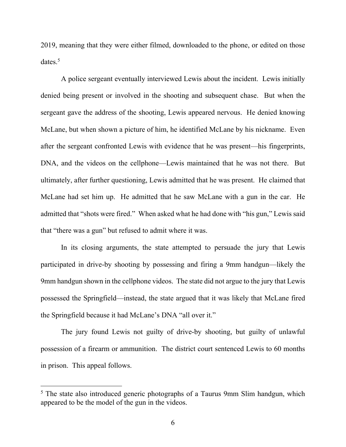2019, meaning that they were either filmed, downloaded to the phone, or edited on those dates.<sup>5</sup>

A police sergeant eventually interviewed Lewis about the incident. Lewis initially denied being present or involved in the shooting and subsequent chase. But when the sergeant gave the address of the shooting, Lewis appeared nervous. He denied knowing McLane, but when shown a picture of him, he identified McLane by his nickname. Even after the sergeant confronted Lewis with evidence that he was present—his fingerprints, DNA, and the videos on the cellphone—Lewis maintained that he was not there. But ultimately, after further questioning, Lewis admitted that he was present. He claimed that McLane had set him up. He admitted that he saw McLane with a gun in the car. He admitted that "shots were fired." When asked what he had done with "his gun," Lewis said that "there was a gun" but refused to admit where it was.

In its closing arguments, the state attempted to persuade the jury that Lewis participated in drive-by shooting by possessing and firing a 9mm handgun—likely the 9mm handgun shown in the cellphone videos. The state did not argue to the jury that Lewis possessed the Springfield—instead, the state argued that it was likely that McLane fired the Springfield because it had McLane's DNA "all over it."

The jury found Lewis not guilty of drive-by shooting, but guilty of unlawful possession of a firearm or ammunition. The district court sentenced Lewis to 60 months in prison. This appeal follows.

<sup>&</sup>lt;sup>5</sup> The state also introduced generic photographs of a Taurus 9mm Slim handgun, which appeared to be the model of the gun in the videos.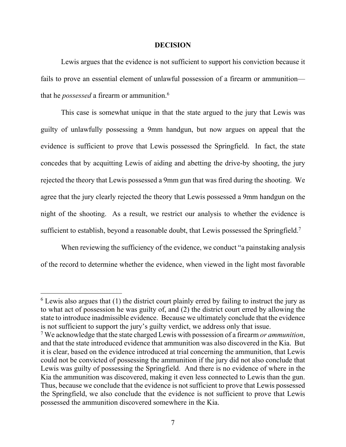#### **DECISION**

Lewis argues that the evidence is not sufficient to support his conviction because it fails to prove an essential element of unlawful possession of a firearm or ammunition that he *possessed* a firearm or ammunition.6

This case is somewhat unique in that the state argued to the jury that Lewis was guilty of unlawfully possessing a 9mm handgun, but now argues on appeal that the evidence is sufficient to prove that Lewis possessed the Springfield. In fact, the state concedes that by acquitting Lewis of aiding and abetting the drive-by shooting, the jury rejected the theory that Lewis possessed a 9mm gun that was fired during the shooting. We agree that the jury clearly rejected the theory that Lewis possessed a 9mm handgun on the night of the shooting. As a result, we restrict our analysis to whether the evidence is sufficient to establish, beyond a reasonable doubt, that Lewis possessed the Springfield.<sup>7</sup>

When reviewing the sufficiency of the evidence, we conduct "a painstaking analysis" of the record to determine whether the evidence, when viewed in the light most favorable

 $6$  Lewis also argues that (1) the district court plainly erred by failing to instruct the jury as to what act of possession he was guilty of, and (2) the district court erred by allowing the state to introduce inadmissible evidence. Because we ultimately conclude that the evidence is not sufficient to support the jury's guilty verdict, we address only that issue.

<sup>7</sup> We acknowledge that the state charged Lewis with possession of a firearm *or ammunition*, and that the state introduced evidence that ammunition was also discovered in the Kia. But it is clear, based on the evidence introduced at trial concerning the ammunition, that Lewis could not be convicted of possessing the ammunition if the jury did not also conclude that Lewis was guilty of possessing the Springfield. And there is no evidence of where in the Kia the ammunition was discovered, making it even less connected to Lewis than the gun. Thus, because we conclude that the evidence is not sufficient to prove that Lewis possessed the Springfield, we also conclude that the evidence is not sufficient to prove that Lewis possessed the ammunition discovered somewhere in the Kia.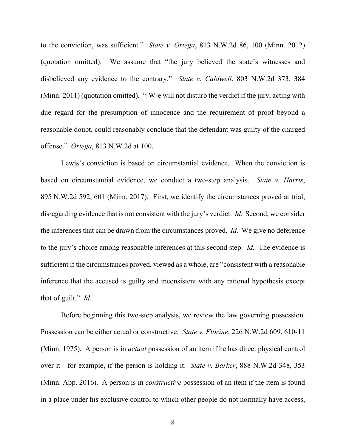to the conviction, was sufficient." *State v. Ortega*, 813 N.W.2d 86, 100 (Minn. 2012) (quotation omitted). We assume that "the jury believed the state's witnesses and disbelieved any evidence to the contrary." *State v. Caldwell*, 803 N.W.2d 373, 384 (Minn. 2011) (quotation omitted). "[W]e will not disturb the verdict if the jury, acting with due regard for the presumption of innocence and the requirement of proof beyond a reasonable doubt, could reasonably conclude that the defendant was guilty of the charged offense." *Ortega*, 813 N.W.2d at 100.

Lewis's conviction is based on circumstantial evidence. When the conviction is based on circumstantial evidence, we conduct a two-step analysis. *State v. Harris*, 895 N.W.2d 592, 601 (Minn. 2017). First, we identify the circumstances proved at trial, disregarding evidence that is not consistent with the jury's verdict. *Id.* Second, we consider the inferences that can be drawn from the circumstances proved. *Id.* We give no deference to the jury's choice among reasonable inferences at this second step. *Id.* The evidence is sufficient if the circumstances proved, viewed as a whole, are "consistent with a reasonable inference that the accused is guilty and inconsistent with any rational hypothesis except that of guilt." *Id.*

Before beginning this two-step analysis, we review the law governing possession. Possession can be either actual or constructive. *State v. Florine*, 226 N.W.2d 609, 610-11 (Minn. 1975). A person is in *actual* possession of an item if he has direct physical control over it—for example, if the person is holding it. *State v. Barker*, 888 N.W.2d 348, 353 (Minn. App. 2016). A person is in *constructive* possession of an item if the item is found in a place under his exclusive control to which other people do not normally have access,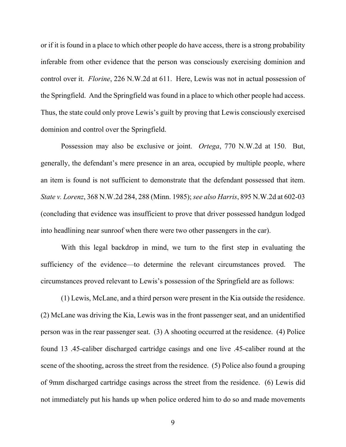or if it is found in a place to which other people do have access, there is a strong probability inferable from other evidence that the person was consciously exercising dominion and control over it. *Florine*, 226 N.W.2d at 611. Here, Lewis was not in actual possession of the Springfield. And the Springfield was found in a place to which other people had access. Thus, the state could only prove Lewis's guilt by proving that Lewis consciously exercised dominion and control over the Springfield.

Possession may also be exclusive or joint. *Ortega*, 770 N.W.2d at 150. But, generally, the defendant's mere presence in an area, occupied by multiple people, where an item is found is not sufficient to demonstrate that the defendant possessed that item. *State v. Lorenz*, 368 N.W.2d 284, 288 (Minn. 1985); *see also Harris*, 895 N.W.2d at 602-03 (concluding that evidence was insufficient to prove that driver possessed handgun lodged into headlining near sunroof when there were two other passengers in the car).

With this legal backdrop in mind, we turn to the first step in evaluating the sufficiency of the evidence—to determine the relevant circumstances proved. The circumstances proved relevant to Lewis's possession of the Springfield are as follows:

(1) Lewis, McLane, and a third person were present in the Kia outside the residence. (2) McLane was driving the Kia, Lewis was in the front passenger seat, and an unidentified person was in the rear passenger seat. (3) A shooting occurred at the residence. (4) Police found 13 .45-caliber discharged cartridge casings and one live .45-caliber round at the scene of the shooting, across the street from the residence. (5) Police also found a grouping of 9mm discharged cartridge casings across the street from the residence. (6) Lewis did not immediately put his hands up when police ordered him to do so and made movements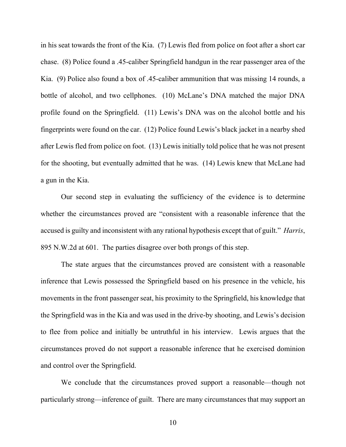in his seat towards the front of the Kia. (7) Lewis fled from police on foot after a short car chase. (8) Police found a .45-caliber Springfield handgun in the rear passenger area of the Kia. (9) Police also found a box of .45-caliber ammunition that was missing 14 rounds, a bottle of alcohol, and two cellphones. (10) McLane's DNA matched the major DNA profile found on the Springfield. (11) Lewis's DNA was on the alcohol bottle and his fingerprints were found on the car. (12) Police found Lewis's black jacket in a nearby shed after Lewis fled from police on foot. (13) Lewis initially told police that he was not present for the shooting, but eventually admitted that he was. (14) Lewis knew that McLane had a gun in the Kia.

Our second step in evaluating the sufficiency of the evidence is to determine whether the circumstances proved are "consistent with a reasonable inference that the accused is guilty and inconsistent with any rational hypothesis except that of guilt." *Harris*, 895 N.W.2d at 601. The parties disagree over both prongs of this step.

The state argues that the circumstances proved are consistent with a reasonable inference that Lewis possessed the Springfield based on his presence in the vehicle, his movements in the front passenger seat, his proximity to the Springfield, his knowledge that the Springfield was in the Kia and was used in the drive-by shooting, and Lewis's decision to flee from police and initially be untruthful in his interview. Lewis argues that the circumstances proved do not support a reasonable inference that he exercised dominion and control over the Springfield.

We conclude that the circumstances proved support a reasonable—though not particularly strong—inference of guilt. There are many circumstances that may support an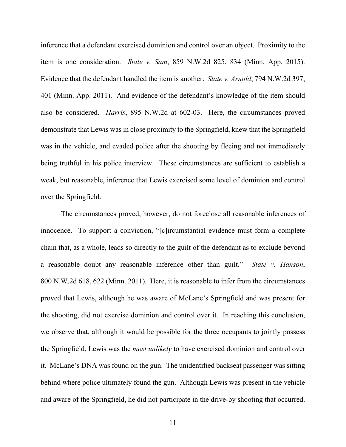inference that a defendant exercised dominion and control over an object. Proximity to the item is one consideration. *State v. Sam*, 859 N.W.2d 825, 834 (Minn. App. 2015). Evidence that the defendant handled the item is another. *State v. Arnold*, 794 N.W.2d 397, 401 (Minn. App. 2011). And evidence of the defendant's knowledge of the item should also be considered. *Harris*, 895 N.W.2d at 602-03. Here, the circumstances proved demonstrate that Lewis was in close proximity to the Springfield, knew that the Springfield was in the vehicle, and evaded police after the shooting by fleeing and not immediately being truthful in his police interview. These circumstances are sufficient to establish a weak, but reasonable, inference that Lewis exercised some level of dominion and control over the Springfield.

The circumstances proved, however, do not foreclose all reasonable inferences of innocence. To support a conviction, "[c]ircumstantial evidence must form a complete chain that, as a whole, leads so directly to the guilt of the defendant as to exclude beyond a reasonable doubt any reasonable inference other than guilt." *State v. Hanson*, 800 N.W.2d 618, 622 (Minn. 2011). Here, it is reasonable to infer from the circumstances proved that Lewis, although he was aware of McLane's Springfield and was present for the shooting, did not exercise dominion and control over it. In reaching this conclusion, we observe that, although it would be possible for the three occupants to jointly possess the Springfield, Lewis was the *most unlikely* to have exercised dominion and control over it. McLane's DNA was found on the gun. The unidentified backseat passenger was sitting behind where police ultimately found the gun. Although Lewis was present in the vehicle and aware of the Springfield, he did not participate in the drive-by shooting that occurred.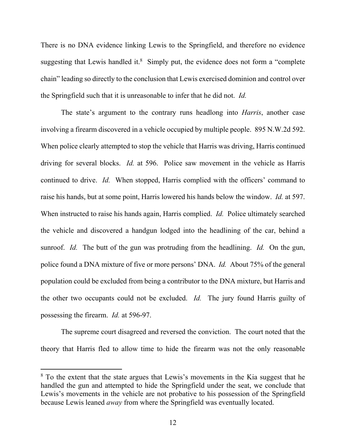There is no DNA evidence linking Lewis to the Springfield, and therefore no evidence suggesting that Lewis handled it. $8$  Simply put, the evidence does not form a "complete chain" leading so directly to the conclusion that Lewis exercised dominion and control over the Springfield such that it is unreasonable to infer that he did not. *Id.*

The state's argument to the contrary runs headlong into *Harris*, another case involving a firearm discovered in a vehicle occupied by multiple people. 895 N.W.2d 592. When police clearly attempted to stop the vehicle that Harris was driving, Harris continued driving for several blocks. *Id.* at 596. Police saw movement in the vehicle as Harris continued to drive. *Id.* When stopped, Harris complied with the officers' command to raise his hands, but at some point, Harris lowered his hands below the window. *Id.* at 597. When instructed to raise his hands again, Harris complied. *Id.* Police ultimately searched the vehicle and discovered a handgun lodged into the headlining of the car, behind a sunroof. *Id.* The butt of the gun was protruding from the headlining. *Id.* On the gun, police found a DNA mixture of five or more persons' DNA. *Id.* About 75% of the general population could be excluded from being a contributor to the DNA mixture, but Harris and the other two occupants could not be excluded. *Id.* The jury found Harris guilty of possessing the firearm. *Id.* at 596-97.

The supreme court disagreed and reversed the conviction. The court noted that the theory that Harris fled to allow time to hide the firearm was not the only reasonable

<sup>&</sup>lt;sup>8</sup> To the extent that the state argues that Lewis's movements in the Kia suggest that he handled the gun and attempted to hide the Springfield under the seat, we conclude that Lewis's movements in the vehicle are not probative to his possession of the Springfield because Lewis leaned *away* from where the Springfield was eventually located.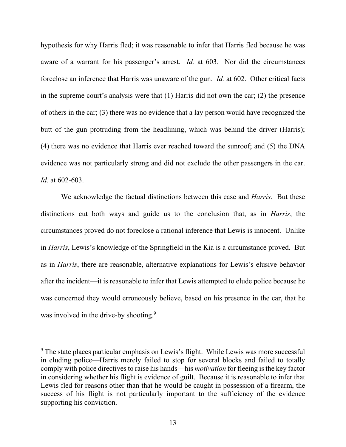hypothesis for why Harris fled; it was reasonable to infer that Harris fled because he was aware of a warrant for his passenger's arrest. *Id.* at 603. Nor did the circumstances foreclose an inference that Harris was unaware of the gun. *Id.* at 602. Other critical facts in the supreme court's analysis were that (1) Harris did not own the car; (2) the presence of others in the car; (3) there was no evidence that a lay person would have recognized the butt of the gun protruding from the headlining, which was behind the driver (Harris); (4) there was no evidence that Harris ever reached toward the sunroof; and (5) the DNA evidence was not particularly strong and did not exclude the other passengers in the car. *Id.* at 602-603.

We acknowledge the factual distinctions between this case and *Harris*. But these distinctions cut both ways and guide us to the conclusion that, as in *Harris*, the circumstances proved do not foreclose a rational inference that Lewis is innocent. Unlike in *Harris*, Lewis's knowledge of the Springfield in the Kia is a circumstance proved. But as in *Harris*, there are reasonable, alternative explanations for Lewis's elusive behavior after the incident—it is reasonable to infer that Lewis attempted to elude police because he was concerned they would erroneously believe, based on his presence in the car, that he was involved in the drive-by shooting.<sup>9</sup>

<sup>&</sup>lt;sup>9</sup> The state places particular emphasis on Lewis's flight. While Lewis was more successful in eluding police—Harris merely failed to stop for several blocks and failed to totally comply with police directives to raise his hands—his *motivation* for fleeing is the key factor in considering whether his flight is evidence of guilt. Because it is reasonable to infer that Lewis fled for reasons other than that he would be caught in possession of a firearm, the success of his flight is not particularly important to the sufficiency of the evidence supporting his conviction.